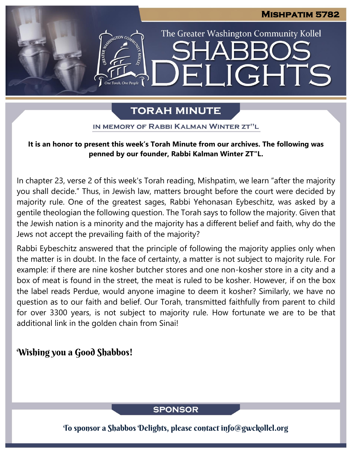The Greater Washington Community Kollel

LIGHTS

# **TORAH MINUTE**

EI

IN MEMORY OF RABBI KALMAN WINTER ZT"L

### **It is an honor to present this week's Torah Minute from our archives. The following was penned by our founder, Rabbi Kalman Winter ZT"L.**

In chapter 23, verse 2 of this week's Torah reading, Mishpatim, we learn "after the majority you shall decide." Thus, in Jewish law, matters brought before the court were decided by majority rule. One of the greatest sages, Rabbi Yehonasan Eybeschitz, was asked by a gentile theologian the following question. The Torah says to follow the majority. Given that the Jewish nation is a minority and the majority has a different belief and faith, why do the Jews not accept the prevailing faith of the majority?

Rabbi Eybeschitz answered that the principle of following the majority applies only when the matter is in doubt. In the face of certainty, a matter is not subject to majority rule. For example: if there are nine kosher butcher stores and one non-kosher store in a city and a box of meat is found in the street, the meat is ruled to be kosher. However, if on the box the label reads Perdue, would anyone imagine to deem it kosher? Similarly, we have no question as to our faith and belief. Our Torah, transmitted faithfully from parent to child for over 3300 years, is not subject to majority rule. How fortunate we are to be that additional link in the golden chain from Sinai!

# Wishing you a Good Shabbos!

**SPONSOR** 

To sponsor a Shabbos Delights, please contact info@gwckollel.org